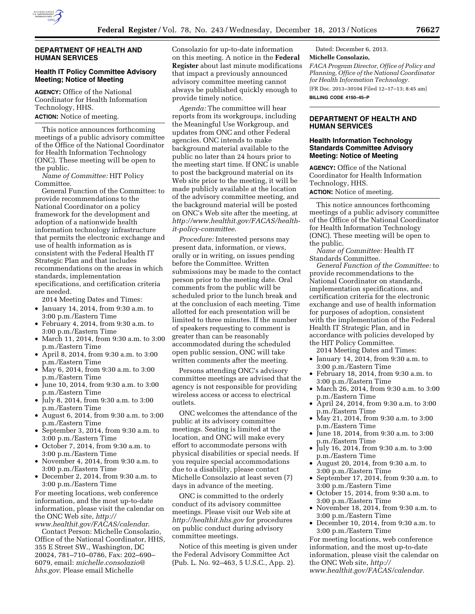

### **DEPARTMENT OF HEALTH AND HUMAN SERVICES**

## **Health IT Policy Committee Advisory Meeting; Notice of Meeting**

**AGENCY:** Office of the National Coordinator for Health Information Technology, HHS. **ACTION:** Notice of meeting.

This notice announces forthcoming meetings of a public advisory committee of the Office of the National Coordinator for Health Information Technology (ONC). These meeting will be open to the public.

*Name of Committee:* HIT Policy Committee.

General Function of the Committee: to provide recommendations to the National Coordinator on a policy framework for the development and adoption of a nationwide health information technology infrastructure that permits the electronic exchange and use of health information as is consistent with the Federal Health IT Strategic Plan and that includes recommendations on the areas in which standards, implementation specifications, and certification criteria are needed.

2014 Meeting Dates and Times:

- January 14, 2014, from 9:30 a.m. to 3:00 p.m./Eastern Time
- February 4, 2014, from 9:30 a.m. to 3:00 p.m./Eastern Time
- March 11, 2014, from 9:30 a.m. to 3:00 p.m./Eastern Time
- April 8, 2014, from 9:30 a.m. to 3:00 p.m./Eastern Time
- May 6, 2014, from 9:30 a.m. to 3:00 p.m./Eastern Time
- June 10, 2014, from 9:30 a.m. to 3:00 p.m./Eastern Time
- July 8, 2014, from 9:30 a.m. to 3:00 p.m./Eastern Time
- August 6, 2014, from 9:30 a.m. to 3:00 p.m./Eastern Time
- September 3, 2014, from 9:30 a.m. to 3:00 p.m./Eastern Time
- October 7, 2014, from 9:30 a.m. to 3:00 p.m./Eastern Time
- November 4, 2014, from 9:30 a.m. to 3:00 p.m./Eastern Time
- December 2, 2014, from 9:30 a.m. to 3:00 p.m./Eastern Time

For meeting locations, web conference information, and the most up-to-date information, please visit the calendar on the ONC Web site, *[http://](http://www.healthit.gov/FACAS/calendar) [www.healthit.gov/FACAS/calendar](http://www.healthit.gov/FACAS/calendar)*.

Contact Person: Michelle Consolazio, Office of the National Coordinator, HHS, 355 E Street SW., Washington, DC 20024, 781–710–0786, Fax: 202–690– 6079, email: *[michelle.consolazio@](mailto:michelle.consolazio@hhs.gov) [hhs.gov](mailto:michelle.consolazio@hhs.gov)*. Please email Michelle

Consolazio for up-to-date information on this meeting. A notice in the **Federal Register** about last minute modifications that impact a previously announced advisory committee meeting cannot always be published quickly enough to provide timely notice.

*Agenda:* The committee will hear reports from its workgroups, including the Meaningful Use Workgroup, and updates from ONC and other Federal agencies. ONC intends to make background material available to the public no later than 24 hours prior to the meeting start time. If ONC is unable to post the background material on its Web site prior to the meeting, it will be made publicly available at the location of the advisory committee meeting, and the background material will be posted on ONC's Web site after the meeting, at *[http://www.healthit.gov/FACAS/health](http://www.healthit.gov/FACAS/health-it-policy-committee)[it-policy-committee](http://www.healthit.gov/FACAS/health-it-policy-committee)*.

*Procedure:* Interested persons may present data, information, or views, orally or in writing, on issues pending before the Committee. Written submissions may be made to the contact person prior to the meeting date. Oral comments from the public will be scheduled prior to the lunch break and at the conclusion of each meeting. Time allotted for each presentation will be limited to three minutes. If the number of speakers requesting to comment is greater than can be reasonably accommodated during the scheduled open public session, ONC will take written comments after the meeting.

Persons attending ONC's advisory committee meetings are advised that the agency is not responsible for providing wireless access or access to electrical outlets.

ONC welcomes the attendance of the public at its advisory committee meetings. Seating is limited at the location, and ONC will make every effort to accommodate persons with physical disabilities or special needs. If you require special accommodations due to a disability, please contact Michelle Consolazio at least seven (7) days in advance of the meeting.

ONC is committed to the orderly conduct of its advisory committee meetings. Please visit our Web site at *<http://healthit.hhs.gov>*for procedures on public conduct during advisory committee meetings.

Notice of this meeting is given under the Federal Advisory Committee Act (Pub. L. No. 92–463, 5 U.S.C., App. 2).

Dated: December 6, 2013. **Michelle Consolazio,**  *FACA Program Director, Office of Policy and Planning, Office of the National Coordinator for Health Information Technology.*  [FR Doc. 2013–30104 Filed 12–17–13; 8:45 am] **BILLING CODE 4150–45–P** 

**DEPARTMENT OF HEALTH AND** 

**HUMAN SERVICES** 

# **Health Information Technology Standards Committee Advisory Meeting: Notice of Meeting**

**AGENCY:** Office of the National Coordinator for Health Information Technology, HHS. **ACTION:** Notice of meeting.

This notice announces forthcoming meetings of a public advisory committee of the Office of the National Coordinator for Health Information Technology (ONC). These meeting will be open to the public.

*Name of Committee:* Health IT Standards Committee.

*General Function of the Committee:* to provide recommendations to the National Coordinator on standards, implementation specifications, and certification criteria for the electronic exchange and use of health information for purposes of adoption, consistent with the implementation of the Federal Health IT Strategic Plan, and in accordance with policies developed by the HIT Policy Committee.

2014 Meeting Dates and Times:

- January 14, 2014, from 9:30 a.m. to 3:00 p.m./Eastern Time
- February 18, 2014, from 9:30 a.m. to 3:00 p.m./Eastern Time
- March 26, 2014, from 9:30 a.m. to 3:00 p.m./Eastern Time
- April 24, 2014, from 9:30 a.m. to 3:00 p.m./Eastern Time
- May 21, 2014, from 9:30 a.m. to 3:00 p.m./Eastern Time
- June 18, 2014, from 9:30 a.m. to 3:00 p.m./Eastern Time
- July 16, 2014, from 9:30 a.m. to 3:00 p.m./Eastern Time
- August 20, 2014, from 9:30 a.m. to 3:00 p.m./Eastern Time
- September 17, 2014, from 9:30 a.m. to 3:00 p.m./Eastern Time
- October 15, 2014, from 9:30 a.m. to 3:00 p.m./Eastern Time
- November 18, 2014, from 9:30 a.m. to 3:00 p.m./Eastern Time
- December 10, 2014, from 9:30 a.m. to 3:00 p.m./Eastern Time

For meeting locations, web conference information, and the most up-to-date information, please visit the calendar on the ONC Web site, *[http://](http://www.healthit.gov/FACAS/calendar)  [www.healthit.gov/FACAS/calendar.](http://www.healthit.gov/FACAS/calendar)*